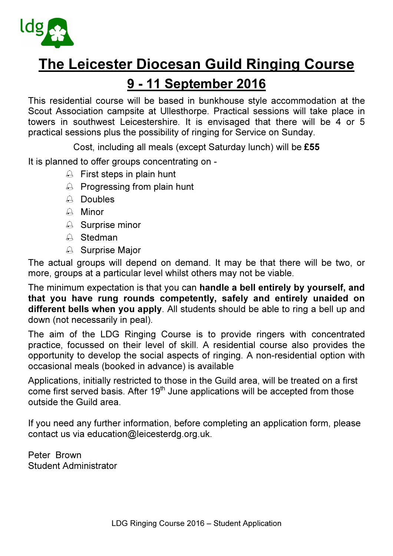

# The Leicester Diocesan Guild Ringing Course

## 9 - 11 September 2016

This residential course will be based in bunkhouse style accommodation at the Scout Association campsite at Ullesthorpe. Practical sessions will take place in towers in southwest Leicestershire. It is envisaged that there will be 4 or 5 practical sessions plus the possibility of ringing for Service on Sunday.

Cost, including all meals (except Saturday lunch) will be £55

It is planned to offer groups concentrating on -

- $\triangle$  First steps in plain hunt
- $\triangle$  Progressing from plain hunt
- $\triangle$  Doubles
- $A$  Minor
- **A** Surprise minor
- $A$  Stedman
- A Surprise Major

The actual groups will depend on demand. It may be that there will be two, or more, groups at a particular level whilst others may not be viable.

The minimum expectation is that you can handle a bell entirely by yourself, and that you have rung rounds competently, safely and entirely unaided on different bells when you apply. All students should be able to ring a bell up and down (not necessarily in peal).

The aim of the LDG Ringing Course is to provide ringers with concentrated practice, focussed on their level of skill. A residential course also provides the opportunity to develop the social aspects of ringing. A non-residential option with occasional meals (booked in advance) is available

Applications, initially restricted to those in the Guild area, will be treated on a first  $\overline{\text{come}}$  first served basis. After 19<sup>th</sup> June applications will be accepted from those outside the Guild area.

If you need any further information, before completing an application form, please contact us via education@leicesterdg.org.uk.

Peter Brown Student Administrator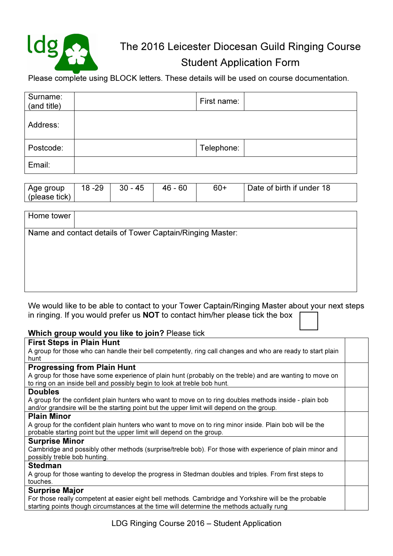

## The 2016 Leicester Diocesan Guild Ringing Course Student Application Form

Please complete using BLOCK letters. These details will be used on course documentation.

| Surname:<br>(and title) | First name: |  |
|-------------------------|-------------|--|
| Address:                |             |  |
| Postcode:               | Telephone:  |  |
| Email:                  |             |  |

| Age group     | $18 - 29$ | - 45<br>30 | 60<br>- 46 | $60+$ | Date of birth if under 18 |
|---------------|-----------|------------|------------|-------|---------------------------|
| (please tick) |           |            |            |       |                           |

| Home tower |                                                           |
|------------|-----------------------------------------------------------|
|            | Name and contact details of Tower Captain/Ringing Master: |
|            |                                                           |
|            |                                                           |
|            |                                                           |
|            |                                                           |
|            |                                                           |

We would like to be able to contact to your Tower Captain/Ringing Master about your next steps in ringing. If you would prefer us NOT to contact him/her please tick the box

### Which group would you like to join? Please tick

#### First Steps in Plain Hunt

A group for those who can handle their bell competently, ring call changes and who are ready to start plain hunt

#### Progressing from Plain Hunt

A group for those have some experience of plain hunt (probably on the treble) and are wanting to move on to ring on an inside bell and possibly begin to look at treble bob hunt.

#### Doubles

A group for the confident plain hunters who want to move on to ring doubles methods inside - plain bob and/or grandsire will be the starting point but the upper limit will depend on the group.

#### Plain Minor

A group for the confident plain hunters who want to move on to ring minor inside. Plain bob will be the probable starting point but the upper limit will depend on the group.

#### Surprise Minor

Cambridge and possibly other methods (surprise/treble bob). For those with experience of plain minor and possibly treble bob hunting.

#### Stedman

A group for those wanting to develop the progress in Stedman doubles and triples. From first steps to touches.

#### Surprise Major

For those really competent at easier eight bell methods. Cambridge and Yorkshire will be the probable starting points though circumstances at the time will determine the methods actually rung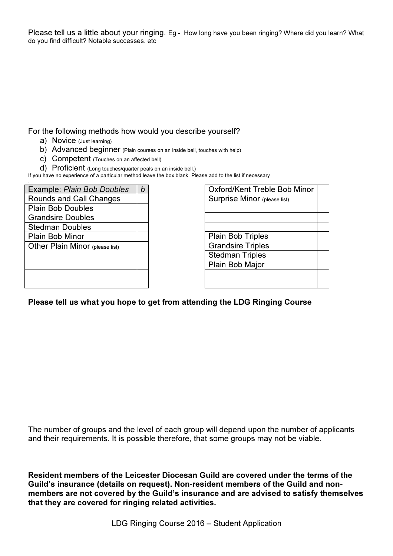Please tell us a little about your ringing. Eg - How long have you been ringing? Where did you learn? What do you find difficult? Notable successes. etc

For the following methods how would you describe yourself?

- a) Novice (Just learning)
- b) Advanced beginner (Plain courses on an inside bell, touches with help)
- c) Competent (Touches on an affected bell)
- d) Proficient (Long touches/quarter peals on an inside bell.)

If you have no experience of a particular method leave the box blank. Please add to the list if necessary .

| Example: Plain Bob Doubles      |  |
|---------------------------------|--|
| Rounds and Call Changes         |  |
| <b>Plain Bob Doubles</b>        |  |
| <b>Grandsire Doubles</b>        |  |
| <b>Stedman Doubles</b>          |  |
| <b>Plain Bob Minor</b>          |  |
| Other Plain Minor (please list) |  |
|                                 |  |
|                                 |  |
|                                 |  |
|                                 |  |

| Oxford/Kent Treble Bob Minor |  |
|------------------------------|--|
| Surprise Minor (please list) |  |
|                              |  |
|                              |  |
|                              |  |
| <b>Plain Bob Triples</b>     |  |
| <b>Grandsire Triples</b>     |  |
| <b>Stedman Triples</b>       |  |
| Plain Bob Major              |  |
|                              |  |
|                              |  |

#### Please tell us what you hope to get from attending the LDG Ringing Course

The number of groups and the level of each group will depend upon the number of applicants and their requirements. It is possible therefore, that some groups may not be viable.

Resident members of the Leicester Diocesan Guild are covered under the terms of the Guild's insurance (details on request). Non-resident members of the Guild and nonmembers are not covered by the Guild's insurance and are advised to satisfy themselves that they are covered for ringing related activities.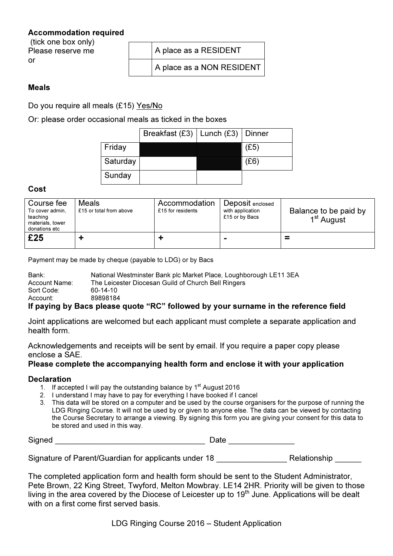### Accommodation required

 (tick one box only) Please reserve me or

| A place as a RESIDENT     |
|---------------------------|
| A place as a NON RESIDENT |

#### Meals

Do you require all meals (£15) Yes/No

Or: please order occasional meals as ticked in the boxes

|          | Breakfast (£3)   Lunch (£3)   Dinner |      |
|----------|--------------------------------------|------|
| Friday   |                                      | (E5) |
| Saturday |                                      | (£6) |
| Sunday   |                                      |      |

#### Cost

| Course fee<br>To cover admin,<br>teaching<br>materials, tower<br>donations etc | <b>Meals</b><br>£15 or total from above | Accommodation<br>£15 for residents | Deposit enclosed<br>with application<br>£15 or by Bacs | Balance to be paid by<br>1 <sup>st</sup> August |
|--------------------------------------------------------------------------------|-----------------------------------------|------------------------------------|--------------------------------------------------------|-------------------------------------------------|
| £25                                                                            |                                         |                                    |                                                        | ≕                                               |

Payment may be made by cheque (payable to LDG) or by Bacs

| Bank:                                      | National Westminster Bank plc Market Place, Loughborough LE11 3EA |  |  |  |
|--------------------------------------------|-------------------------------------------------------------------|--|--|--|
| Account Name:                              | The Leicester Diocesan Guild of Church Bell Ringers               |  |  |  |
| Sort Code:                                 | 60-14-10                                                          |  |  |  |
| Account:                                   | 89898184                                                          |  |  |  |
| $\mathbf{r}$ , $\mathbf{r}$ , $\mathbf{r}$ | . .                                                               |  |  |  |

## If paying by Bacs please quote "RC" followed by your surname in the reference field

Joint applications are welcomed but each applicant must complete a separate application and health form.

Acknowledgements and receipts will be sent by email. If you require a paper copy please enclose a SAE.

## Please complete the accompanying health form and enclose it with your application

### **Declaration**

- 1. If accepted I will pay the outstanding balance by  $1<sup>st</sup>$  August 2016
- 2. I understand I may have to pay for everything I have booked if I cancel
- 3. This data will be stored on a computer and be used by the course organisers for the purpose of running the LDG Ringing Course. It will not be used by or given to anyone else. The data can be viewed by contacting the Course Secretary to arrange a viewing. By signing this form you are giving your consent for this data to be stored and used in this way.

Signed **Example 2** and the set of the set of the Date  $\Box$  Date  $\Box$  Date  $\Box$ 

Signature of Parent/Guardian for applicants under 18 \_\_\_\_\_\_\_\_\_\_\_\_\_\_\_\_\_\_\_\_\_\_\_\_\_\_\_<br>Relationship

The completed application form and health form should be sent to the Student Administrator, Pete Brown, 22 King Street, Twyford, Melton Mowbray. LE14 2HR. Priority will be given to those living in the area covered by the Diocese of Leicester up to 19<sup>th</sup> June. Applications will be dealt with on a first come first served basis.